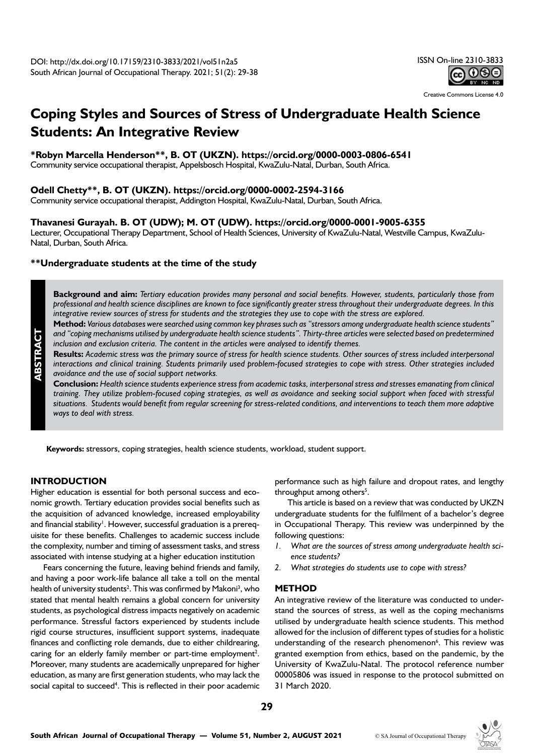Creative Commons License 4.0

# **Coping Styles and Sources of Stress of Undergraduate Health Science Students: An Integrative Review**

## **\*Robyn Marcella Henderson\*\*, B. OT (UKZN). https://orcid.org/0000-0003-0806-6541**

Community service occupational therapist, Appelsbosch Hospital, KwaZulu-Natal, Durban, South Africa.

#### **Odell Chetty\*\*, B. OT (UKZN). https://orcid.org/0000-0002-2594-3166**

Community service occupational therapist, Addington Hospital, KwaZulu-Natal, Durban, South Africa.

#### **Thavanesi Gurayah. B. OT (UDW); M. OT (UDW). https://orcid.org/0000-0001-9005-6355**

Lecturer, Occupational Therapy Department, School of Health Sciences, University of KwaZulu-Natal, Westville Campus, KwaZulu-Natal, Durban, South Africa.

#### **\*\*Undergraduate students at the time of the study**

**Background and aim:** *Tertiary education provides many personal and social benefits. However, students, particularly those from professional and health science disciplines are known to face significantly greater stress throughout their undergraduate degrees. In this integrative review sources of stress for students and the strategies they use to cope with the stress are explored.*

**Method:** *Various databases were searched using common key phrases such as "stressors among undergraduate health science students" and "coping mechanisms utilised by undergraduate health science students". Thirty-three articles were selected based on predetermined inclusion and exclusion criteria. The content in the articles were analysed to identify themes.*

**Results:** *Academic stress was the primary source of stress for health science students. Other sources of stress included interpersonal interactions and clinical training. Students primarily used problem-focused strategies to cope with stress. Other strategies included avoidance and the use of social support networks.*

Conclusion: Health science students experience stress from academic tasks, interpersonal stress and stresses emanating from clinical *training. They utilize problem-focused coping strategies, as well as avoidance and seeking social support when faced with stressful situations. Students would benefit from regular screening for stress-related conditions, and interventions to teach them more adaptive ways to deal with stress.*

**Keywords:** stressors, coping strategies, health science students, workload, student support.

#### **INTRODUCTION**

**ABSTRACT**

Higher education is essential for both personal success and economic growth. Tertiary education provides social benefits such as the acquisition of advanced knowledge, increased employability and financial stability<sup>1</sup>. However, successful graduation is a prerequisite for these benefits. Challenges to academic success include the complexity, number and timing of assessment tasks, and stress associated with intense studying at a higher education institution

Fears concerning the future, leaving behind friends and family, and having a poor work-life balance all take a toll on the mental health of university students<sup>2</sup>. This was confirmed by Makoni<sup>3</sup>, who stated that mental health remains a global concern for university students, as psychological distress impacts negatively on academic performance. Stressful factors experienced by students include rigid course structures, insufficient support systems, inadequate finances and conflicting role demands, due to either childrearing, caring for an elderly family member or part-time employment<sup>2</sup>. Moreover, many students are academically unprepared for higher education, as many are first generation students, who may lack the social capital to succeed<sup>4</sup>. This is reflected in their poor academic performance such as high failure and dropout rates, and lengthy throughput among others<sup>5</sup>.

This article is based on a review that was conducted by UKZN undergraduate students for the fulfilment of a bachelor's degree in Occupational Therapy. This review was underpinned by the following questions:

- *1. What are the sources of stress among undergraduate health science students?*
- *2. What strategies do students use to cope with stress?*

#### **METHOD**

An integrative review of the literature was conducted to understand the sources of stress, as well as the coping mechanisms utilised by undergraduate health science students. This method allowed for the inclusion of different types of studies for a holistic understanding of the research phenomenon<sup>6</sup>. This review was granted exemption from ethics, based on the pandemic, by the University of KwaZulu-Natal. The protocol reference number 00005806 was issued in response to the protocol submitted on 31 March 2020.

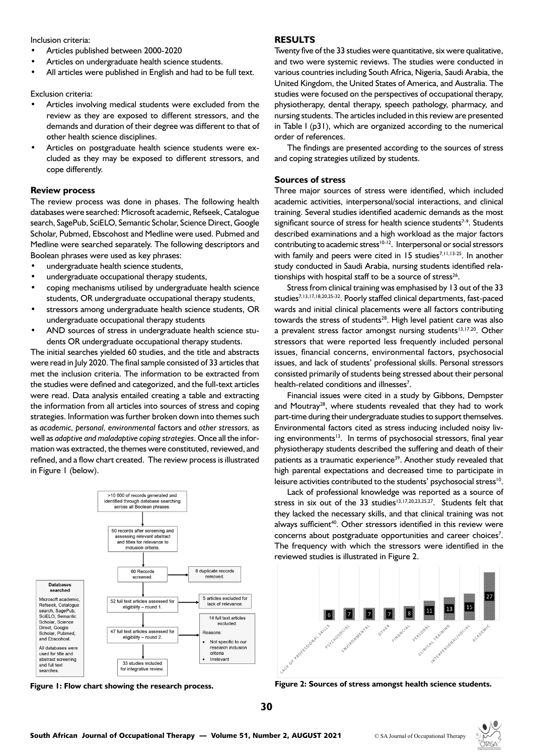Inclusion criteria:

- Articles published between 2000-2020
- Articles on undergraduate health science students.
- All articles were published in English and had to be full text.

Exclusion criteria:

- Articles involving medical students were excluded from the review as they are exposed to different stressors, and the demands and duration of their degree was different to that of other health science disciplines.
- Articles on postgraduate health science students were excluded as they may be exposed to different stressors, and cope differently.

#### **Review process**

The review process was done in phases. The following health databases were searched: Microsoft academic, Refseek, Catalogue search, SagePub, SciELO, Semantic Scholar, Science Direct, Google Scholar, Pubmed, Ebscohost and Medline were used. Pubmed and Medline were searched separately. The following descriptors and Boolean phrases were used as key phrases:

- undergraduate health science students,
- undergraduate occupational therapy students,
- coping mechanisms utilised by undergraduate health science students, OR undergraduate occupational therapy students,
- stressors among undergraduate health science students, OR undergraduate occupational therapy students
- AND sources of stress in undergraduate health science students OR undergraduate occupational therapy students.

The initial searches yielded 60 studies, and the title and abstracts were read in July 2020. The final sample consisted of 33 articles that met the inclusion criteria. The information to be extracted from the studies were defined and categorized, and the full-text articles were read. Data analysis entailed creating a table and extracting the information from all articles into sources of stress and coping strategies. Information was further broken down into themes such as *academic, personal, environmental* factors and *other stressors,* as well as *adaptive and maladaptive coping strategies*. Once all the information was extracted, the themes were constituted, reviewed, and refined, and a flow chart created. The review process is illustrated in Figure 1 (below).





#### **RESULTS**

Twenty five of the 33 studies were quantitative, six were qualitative, and two were systemic reviews. The studies were conducted in various countries including South Africa, Nigeria, Saudi Arabia, the United Kingdom, the United States of America, and Australia. The studies were focused on the perspectives of occupational therapy, physiotherapy, dental therapy, speech pathology, pharmacy, and nursing students. The articles included in this review are presented in Table I (p31), which are organized according to the numerical order of references.

The findings are presented according to the sources of stress and coping strategies utilized by students.

#### **Sources of stress**

Three major sources of stress were identified, which included academic activities, interpersonal/social interactions, and clinical training. Several studies identified academic demands as the most significant source of stress for health science students<sup>7-9</sup>. Students described examinations and a high workload as the major factors contributing to academic stress<sup>10-12</sup>. Interpersonal or social stressors with family and peers were cited in 15 studies<sup>7,11,13-25</sup>. In another study conducted in Saudi Arabia, nursing students identified relationships with hospital staff to be a source of stress<sup>26</sup>.

Stress from clinical training was emphasised by 13 out of the 33 studies7,13,17,18,20,25-32. Poorly staffed clinical departments, fast-paced wards and initial clinical placements were all factors contributing towards the stress of students<sup>28</sup>. High level patient care was also a prevalent stress factor amongst nursing students<sup>13,17,20</sup>. Other stressors that were reported less frequently included personal issues, financial concerns, environmental factors, psychosocial issues, and lack of students' professional skills. Personal stressors consisted primarily of students being stressed about their personal health-related conditions and illnesses<sup>7</sup>.

Financial issues were cited in a study by Gibbons, Dempster and Moutray<sup>28</sup>, where students revealed that they had to work part-time during their undergraduate studies to support themselves. Environmental factors cited as stress inducing included noisy living environments<sup>13</sup>. In terms of psychosocial stressors, final year physiotherapy students described the suffering and death of their patients as a traumatic experience<sup>39</sup>. Another study revealed that high parental expectations and decreased time to participate in leisure activities contributed to the students' psychosocial stress<sup>10</sup>.

Lack of professional knowledge was reported as a source of stress in six out of the 33 studies<sup>13,17,20,23,25,27</sup>. Students felt that they lacked the necessary skills, and that clinical training was not always sufficient<sup>40</sup>. Other stressors identified in this review were concerns about postgraduate opportunities and career choices<sup>7</sup>. The frequency with which the stressors were identified in the reviewed studies is illustrated in Figure 2.



**Figure 1: Flow chart showing the research process. Figure 2: Sources of stress amongst health science students.**

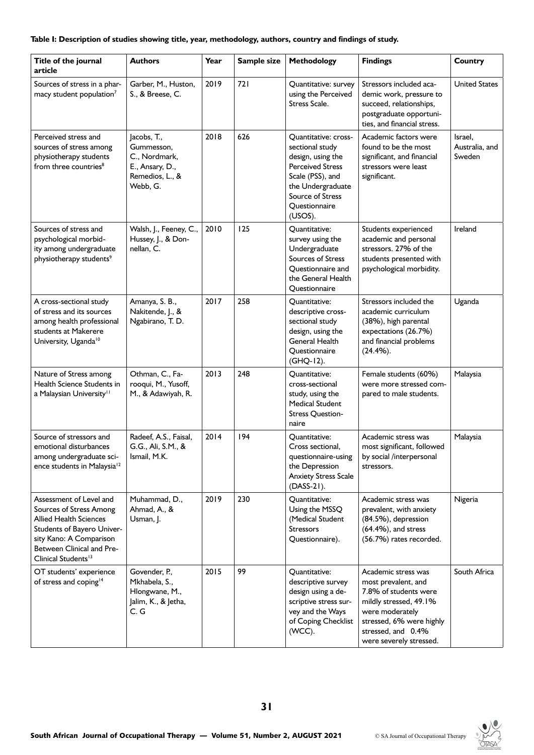#### **Table I: Description of studies showing title, year, methodology, authors, country and findings of study.**

| Title of the journal<br>article                                                                                                                                                                              | <b>Authors</b>                                                                               | Year | Sample size | <b>Methodology</b>                                                                                                                                                                      | <b>Findings</b>                                                                                                                                                                               | <b>Country</b>                      |
|--------------------------------------------------------------------------------------------------------------------------------------------------------------------------------------------------------------|----------------------------------------------------------------------------------------------|------|-------------|-----------------------------------------------------------------------------------------------------------------------------------------------------------------------------------------|-----------------------------------------------------------------------------------------------------------------------------------------------------------------------------------------------|-------------------------------------|
| Sources of stress in a phar-<br>macy student population <sup>7</sup>                                                                                                                                         | Garber, M., Huston,<br>S., & Breese, C.                                                      | 2019 | 721         | Quantitative: survey<br>using the Perceived<br>Stress Scale.                                                                                                                            | Stressors included aca-<br>demic work, pressure to<br>succeed, relationships,<br>postgraduate opportuni-<br>ties, and financial stress.                                                       | <b>United States</b>                |
| Perceived stress and<br>sources of stress among<br>physiotherapy students<br>from three countries <sup>8</sup>                                                                                               | Jacobs, T.,<br>Gummesson,<br>C., Nordmark,<br>E., Ansary, D.,<br>Remedios, L., &<br>Webb, G. | 2018 | 626         | <b>Quantitative: cross-</b><br>sectional study<br>design, using the<br><b>Perceived Stress</b><br>Scale (PSS), and<br>the Undergraduate<br>Source of Stress<br>Questionnaire<br>(USOS). | Academic factors were<br>found to be the most<br>significant, and financial<br>stressors were least<br>significant.                                                                           | Israel,<br>Australia, and<br>Sweden |
| Sources of stress and<br>psychological morbid-<br>ity among undergraduate<br>physiotherapy students <sup>9</sup>                                                                                             | Walsh, J., Feeney, C.,<br>Hussey, J., & Don-<br>nellan, C.                                   | 2010 | 125         | Quantitative:<br>survey using the<br>Undergraduate<br>Sources of Stress<br>Questionnaire and<br>the General Health<br>Questionnaire                                                     | Students experienced<br>academic and personal<br>stressors. 27% of the<br>students presented with<br>psychological morbidity.                                                                 | Ireland                             |
| A cross-sectional study<br>of stress and its sources<br>among health professional<br>students at Makerere<br>University, Uganda <sup>10</sup>                                                                | Amanya, S. B.,<br>Nakitende, J., &<br>Ngabirano, T. D.                                       | 2017 | 258         | Quantitative:<br>descriptive cross-<br>sectional study<br>design, using the<br><b>General Health</b><br>Questionnaire<br>(GHQ-12).                                                      | Stressors included the<br>academic curriculum<br>(38%), high parental<br>expectations (26.7%)<br>and financial problems<br>(24.4%).                                                           | Uganda                              |
| Nature of Stress among<br>Health Science Students in<br>a Malaysian University <sup>11</sup>                                                                                                                 | Othman, C., Fa-<br>rooqui, M., Yusoff,<br>M., & Adawiyah, R.                                 | 2013 | 248         | Quantitative:<br>cross-sectional<br>study, using the<br><b>Medical Student</b><br>Stress Question-<br>naire                                                                             | Female students (60%)<br>were more stressed com-<br>pared to male students.                                                                                                                   | Malaysia                            |
| Source of stressors and<br>emotional disturbances<br>among undergraduate sci-<br>ence students in Malaysia <sup>12</sup>                                                                                     | Radeef, A.S., Faisal,<br>G.G., Ali, S.M., &<br>Ismail, M.K.                                  | 2014 | 194         | Quantitative:<br>Cross sectional.<br>questionnaire-using<br>the Depression<br><b>Anxiety Stress Scale</b><br>$(DASS-21)$ .                                                              | Academic stress was<br>most significant, followed<br>by social /interpersonal<br>stressors.                                                                                                   | Malaysia                            |
| Assessment of Level and<br>Sources of Stress Among<br><b>Allied Health Sciences</b><br>Students of Bayero Univer-<br>sity Kano: A Comparison<br>Between Clinical and Pre-<br>Clinical Students <sup>13</sup> | Muhammad, D.,<br>Ahmad, A., &<br>Usman, J.                                                   | 2019 | 230         | Quantitative:<br>Using the MSSQ<br>(Medical Student<br><b>Stressors</b><br>Questionnaire).                                                                                              | Academic stress was<br>prevalent, with anxiety<br>(84.5%), depression<br>$(64.4\%)$ , and stress<br>(56.7%) rates recorded.                                                                   | Nigeria                             |
| OT students' experience<br>of stress and coping <sup>14</sup>                                                                                                                                                | Govender, P.,<br>Mkhabela, S.,<br>Hlongwane, M.,<br>Jalim, K., & Jetha,<br>C. G              | 2015 | 99          | Quantitative:<br>descriptive survey<br>design using a de-<br>scriptive stress sur-<br>vey and the Ways<br>of Coping Checklist<br>(WCC).                                                 | Academic stress was<br>most prevalent, and<br>7.8% of students were<br>mildly stressed, 49.1%<br>were moderately<br>stressed, 6% were highly<br>stressed, and 0.4%<br>were severely stressed. | South Africa                        |

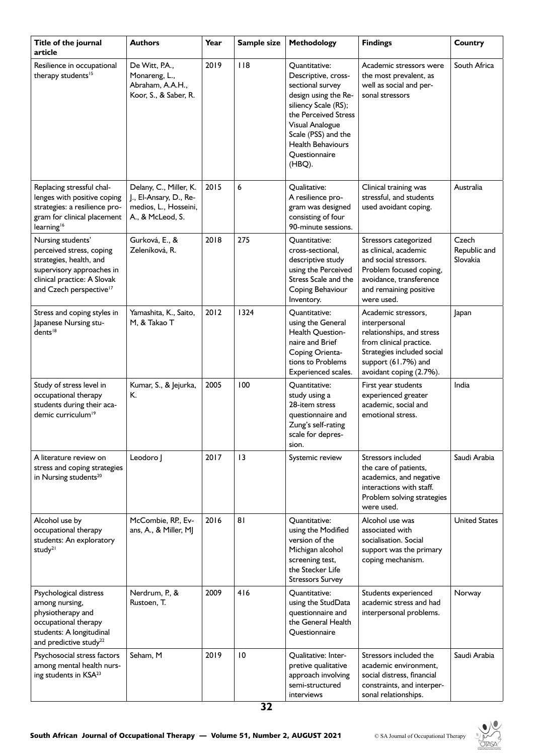| Title of the journal<br>article                                                                                                                                             | <b>Authors</b>                                                                                | Year | Sample size     | Methodology                                                                                                                                                                                                                       | <b>Findings</b>                                                                                                                                                              | <b>Country</b>                    |
|-----------------------------------------------------------------------------------------------------------------------------------------------------------------------------|-----------------------------------------------------------------------------------------------|------|-----------------|-----------------------------------------------------------------------------------------------------------------------------------------------------------------------------------------------------------------------------------|------------------------------------------------------------------------------------------------------------------------------------------------------------------------------|-----------------------------------|
| Resilience in occupational<br>therapy students <sup>15</sup>                                                                                                                | De Witt, P.A.,<br>Monareng, L.,<br>Abraham, A.A.H.,<br>Koor, S., & Saber, R.                  | 2019 | $ $  8          | Quantitative:<br>Descriptive, cross-<br>sectional survey<br>design using the Re-<br>siliency Scale (RS);<br>the Perceived Stress<br>Visual Analogue<br>Scale (PSS) and the<br><b>Health Behaviours</b><br>Questionnaire<br>(HBQ). | Academic stressors were<br>the most prevalent, as<br>well as social and per-<br>sonal stressors                                                                              | South Africa                      |
| Replacing stressful chal-<br>lenges with positive coping<br>strategies: a resilience pro-<br>gram for clinical placement<br>learning <sup>16</sup>                          | Delany, C., Miller, K.<br>J., El-Ansary, D., Re-<br>medios, L., Hosseini,<br>A., & McLeod, S. | 2015 | 6               | Qualitative:<br>A resilience pro-<br>gram was designed<br>consisting of four<br>90-minute sessions.                                                                                                                               | Clinical training was<br>stressful, and students<br>used avoidant coping.                                                                                                    | Australia                         |
| Nursing students'<br>perceived stress, coping<br>strategies, health, and<br>supervisory approaches in<br>clinical practice: A Slovak<br>and Czech perspective <sup>17</sup> | Gurková, E., &<br>Zeleníková, R.                                                              | 2018 | 275             | Quantitative:<br>cross-sectional,<br>descriptive study<br>using the Perceived<br>Stress Scale and the<br>Coping Behaviour<br>Inventory.                                                                                           | Stressors categorized<br>as clinical, academic<br>and social stressors.<br>Problem focused coping,<br>avoidance, transference<br>and remaining positive<br>were used.        | Czech<br>Republic and<br>Slovakia |
| Stress and coping styles in<br>Japanese Nursing stu-<br>dents <sup>18</sup>                                                                                                 | Yamashita, K., Saito,<br>M, & Takao T                                                         | 2012 | 1324            | Quantitative:<br>using the General<br>Health Question-<br>naire and Brief<br>Coping Orienta-<br>tions to Problems<br>Experienced scales.                                                                                          | Academic stressors,<br>interpersonal<br>relationships, and stress<br>from clinical practice.<br>Strategies included social<br>support (61.7%) and<br>avoidant coping (2.7%). | Japan                             |
| Study of stress level in<br>occupational therapy<br>students during their aca-<br>demic curriculum <sup>19</sup>                                                            | Kumar, S., & Jejurka,<br>К.                                                                   | 2005 | 100             | Quantitative:<br>study using a<br>28-item stress<br>questionnaire and<br>Zung's self-rating<br>scale for depres-<br>sion.                                                                                                         | First year students<br>experienced greater<br>academic, social and<br>emotional stress.                                                                                      | India                             |
| A literature review on<br>stress and coping strategies<br>in Nursing students <sup>20</sup>                                                                                 | Leodoro J                                                                                     | 2017 | $\overline{13}$ | Systemic review                                                                                                                                                                                                                   | Stressors included<br>the care of patients,<br>academics, and negative<br>interactions with staff.<br>Problem solving strategies<br>were used.                               | Saudi Arabia                      |
| Alcohol use by<br>occupational therapy<br>students: An exploratory<br>study <sup>21</sup>                                                                                   | McCombie, RP., Ev-<br>ans, A., & Miller, MJ                                                   | 2016 | 81              | Quantitative:<br>using the Modified<br>version of the<br>Michigan alcohol<br>screening test,<br>the Stecker Life<br><b>Stressors Survey</b>                                                                                       | Alcohol use was<br>associated with<br>socialisation. Social<br>support was the primary<br>coping mechanism.                                                                  | <b>United States</b>              |
| Psychological distress<br>among nursing,<br>physiotherapy and<br>occupational therapy<br>students: A longitudinal<br>and predictive study <sup>22</sup>                     | Nerdrum, P., &<br>Rustoen, T.                                                                 | 2009 | 416             | Quantitative:<br>using the StudData<br>questionnaire and<br>the General Health<br>Questionnaire                                                                                                                                   | Students experienced<br>academic stress and had<br>interpersonal problems.                                                                                                   | Norway                            |
| Psychosocial stress factors<br>among mental health nurs-<br>ing students in KSA <sup>23</sup>                                                                               | Seham, M                                                                                      | 2019 | $\overline{10}$ | Qualitative: Inter-<br>pretive qualitative<br>approach involving<br>semi-structured<br>interviews                                                                                                                                 | Stressors included the<br>academic environment,<br>social distress, financial<br>constraints, and interper-<br>sonal relationships.                                          | Saudi Arabia                      |

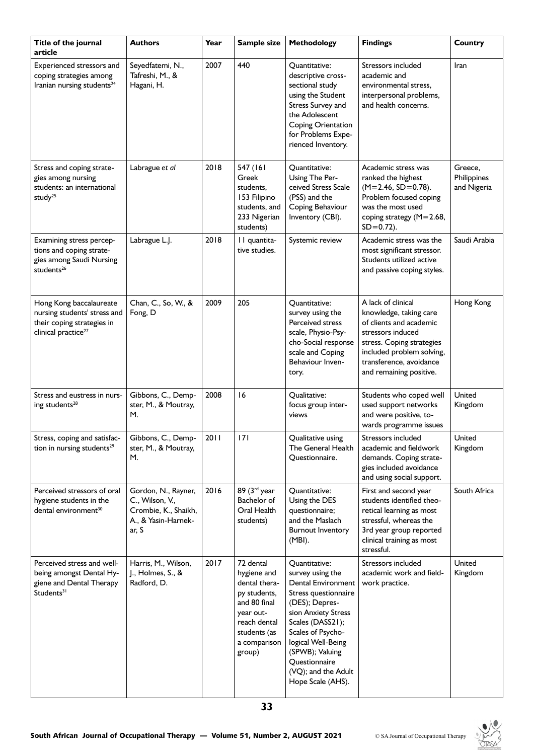| Title of the journal<br>article                                                                                          | <b>Authors</b>                                                                                 | Year | Sample size                                                                                                                                      | Methodology                                                                                                                                                                                                                                                                    | <b>Findings</b>                                                                                                                                                                                              | <b>Country</b>                        |
|--------------------------------------------------------------------------------------------------------------------------|------------------------------------------------------------------------------------------------|------|--------------------------------------------------------------------------------------------------------------------------------------------------|--------------------------------------------------------------------------------------------------------------------------------------------------------------------------------------------------------------------------------------------------------------------------------|--------------------------------------------------------------------------------------------------------------------------------------------------------------------------------------------------------------|---------------------------------------|
| Experienced stressors and<br>coping strategies among<br>Iranian nursing students <sup>24</sup>                           | Seyedfatemi, N.,<br>Tafreshi, M., &<br>Hagani, H.                                              | 2007 | 440                                                                                                                                              | Quantitative:<br>descriptive cross-<br>sectional study<br>using the Student<br>Stress Survey and<br>the Adolescent<br>Coping Orientation<br>for Problems Expe-<br>rienced Inventory.                                                                                           | Stressors included<br>academic and<br>environmental stress,<br>interpersonal problems,<br>and health concerns.                                                                                               | Iran                                  |
| Stress and coping strate-<br>gies among nursing<br>students: an international<br>study <sup>25</sup>                     | Labrague et al                                                                                 | 2018 | 547 (161<br>Greek<br>students,<br>153 Filipino<br>students, and<br>233 Nigerian<br>students)                                                     | Quantitative:<br>Using The Per-<br>ceived Stress Scale<br>(PSS) and the<br>Coping Behaviour<br>Inventory (CBI).                                                                                                                                                                | Academic stress was<br>ranked the highest<br>$(M=2.46, SD=0.78).$<br>Problem focused coping<br>was the most used<br>coping strategy (M=2.68,<br>$SD = 0.72$ ).                                               | Greece,<br>Philippines<br>and Nigeria |
| Examining stress percep-<br>tions and coping strate-<br>gies among Saudi Nursing<br>students <sup>26</sup>               | Labrague L.J.                                                                                  | 2018 | II quantita-<br>tive studies.                                                                                                                    | Systemic review                                                                                                                                                                                                                                                                | Academic stress was the<br>most significant stressor.<br>Students utilized active<br>and passive coping styles.                                                                                              | Saudi Arabia                          |
| Hong Kong baccalaureate<br>nursing students' stress and<br>their coping strategies in<br>clinical practice <sup>27</sup> | Chan, C., So, W., &<br>Fong, D                                                                 | 2009 | 205                                                                                                                                              | Quantitative:<br>survey using the<br>Perceived stress<br>scale, Physio-Psy-<br>cho-Social response<br>scale and Coping<br>Behaviour Inven-<br>tory.                                                                                                                            | A lack of clinical<br>knowledge, taking care<br>of clients and academic<br>stressors induced<br>stress. Coping strategies<br>included problem solving,<br>transference, avoidance<br>and remaining positive. | Hong Kong                             |
| Stress and eustress in nurs-<br>ing students <sup>28</sup>                                                               | Gibbons, C., Demp-<br>ster, M., & Moutray,<br>М.                                               | 2008 | 16                                                                                                                                               | Qualitative:<br>focus group inter-<br>views                                                                                                                                                                                                                                    | Students who coped well<br>used support networks<br>and were positive, to-<br>wards programme issues                                                                                                         | United<br>Kingdom                     |
| Stress, coping and satisfac-<br>tion in nursing students <sup>29</sup>                                                   | Gibbons, C., Demp-<br>ster, M., & Moutray,<br>M.                                               | 2011 | 171                                                                                                                                              | Qualitative using<br>The General Health<br>Questionnaire.                                                                                                                                                                                                                      | Stressors included<br>academic and fieldwork<br>demands. Coping strate-<br>gies included avoidance<br>and using social support.                                                                              | United<br>Kingdom                     |
| Perceived stressors of oral<br>hygiene students in the<br>dental environment <sup>30</sup>                               | Gordon, N., Rayner,<br>C., Wilson, V.,<br>Crombie, K., Shaikh,<br>A., & Yasin-Harnek-<br>ar, S | 2016 | 89 (3rd year<br>Bachelor of<br>Oral Health<br>students)                                                                                          | Quantitative:<br>Using the DES<br>questionnaire;<br>and the Maslach<br><b>Burnout Inventory</b><br>(MBI).                                                                                                                                                                      | First and second year<br>students identified theo-<br>retical learning as most<br>stressful, whereas the<br>3rd year group reported<br>clinical training as most<br>stressful.                               | South Africa                          |
| Perceived stress and well-<br>being amongst Dental Hy-<br>giene and Dental Therapy<br>Students <sup>31</sup>             | Harris, M., Wilson,<br>J., Holmes, S., &<br>Radford, D.                                        | 2017 | 72 dental<br>hygiene and<br>dental thera-<br>py students,<br>and 80 final<br>year out-<br>reach dental<br>students (as<br>a comparison<br>group) | Quantitative:<br>survey using the<br><b>Dental Environment</b><br>Stress questionnaire<br>(DES); Depres-<br>sion Anxiety Stress<br>Scales (DASS21);<br>Scales of Psycho-<br>logical Well-Being<br>(SPWB); Valuing<br>Questionnaire<br>(VQ); and the Adult<br>Hope Scale (AHS). | Stressors included<br>academic work and field-<br>work practice.                                                                                                                                             | United<br>Kingdom                     |

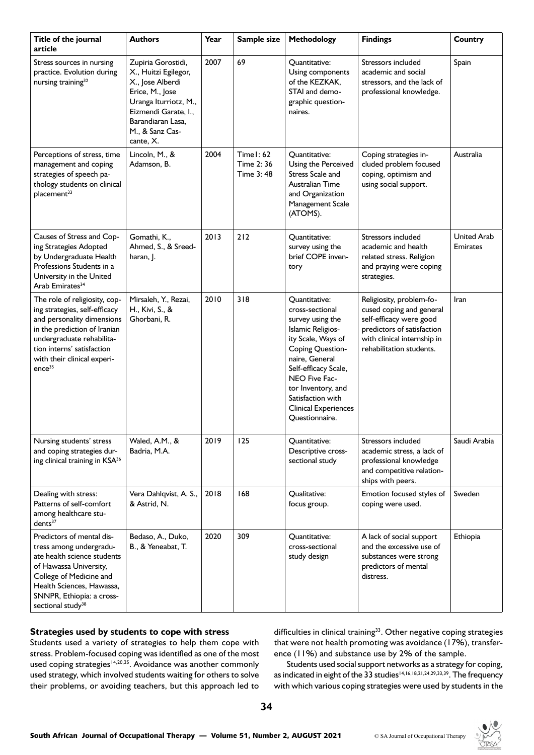| Title of the journal<br>article                                                                                                                                                                                                              | <b>Authors</b>                                                                                                                                                                          | Year | Sample size                           | <b>Methodology</b>                                                                                                                                                                                                                                                         | <b>Findings</b>                                                                                                                                                          | <b>Country</b>                        |
|----------------------------------------------------------------------------------------------------------------------------------------------------------------------------------------------------------------------------------------------|-----------------------------------------------------------------------------------------------------------------------------------------------------------------------------------------|------|---------------------------------------|----------------------------------------------------------------------------------------------------------------------------------------------------------------------------------------------------------------------------------------------------------------------------|--------------------------------------------------------------------------------------------------------------------------------------------------------------------------|---------------------------------------|
| Stress sources in nursing<br>practice. Evolution during<br>nursing training <sup>32</sup>                                                                                                                                                    | Zupiria Gorostidi,<br>X., Huitzi Egilegor,<br>X., Jose Alberdi<br>Erice, M., Jose<br>Uranga Iturriotz, M.,<br>Eizmendi Garate, I.,<br>Barandiaran Lasa.<br>M., & Sanz Cas-<br>cante, X. | 2007 | 69                                    | Quantitative:<br>Using components<br>of the KEZKAK,<br>STAI and demo-<br>graphic question-<br>naires.                                                                                                                                                                      | Stressors included<br>academic and social<br>stressors, and the lack of<br>professional knowledge.                                                                       | Spain                                 |
| Perceptions of stress, time<br>management and coping<br>strategies of speech pa-<br>thology students on clinical<br>placement <sup>33</sup>                                                                                                  | Lincoln, M., &<br>Adamson, B.                                                                                                                                                           | 2004 | Timel: 62<br>Time 2: 36<br>Time 3: 48 | Quantitative:<br>Using the Perceived<br>Stress Scale and<br>Australian Time<br>and Organization<br>Management Scale<br>(ATOMS).                                                                                                                                            | Coping strategies in-<br>cluded problem focused<br>coping, optimism and<br>using social support.                                                                         | Australia                             |
| Causes of Stress and Cop-<br>ing Strategies Adopted<br>by Undergraduate Health<br>Professions Students in a<br>University in the United<br>Arab Emirates <sup>34</sup>                                                                       | Gomathi, K.,<br>Ahmed, S., & Sreed-<br>haran, J.                                                                                                                                        | 2013 | 212                                   | Quantitative:<br>survey using the<br>brief COPE inven-<br>tory                                                                                                                                                                                                             | Stressors included<br>academic and health<br>related stress. Religion<br>and praying were coping<br>strategies.                                                          | <b>United Arab</b><br><b>Emirates</b> |
| The role of religiosity, cop-<br>ing strategies, self-efficacy<br>and personality dimensions<br>in the prediction of Iranian<br>undergraduate rehabilita-<br>tion interns' satisfaction<br>with their clinical experi-<br>ence <sup>35</sup> | Mirsaleh, Y., Rezai,<br>H., Kivi, S., &<br>Ghorbani, R.                                                                                                                                 | 2010 | 318                                   | Quantitative:<br>cross-sectional<br>survey using the<br>Islamic Religios-<br>ity Scale, Ways of<br>Coping Question-<br>naire, General<br>Self-efficacy Scale,<br>NEO Five Fac-<br>tor Inventory, and<br>Satisfaction with<br><b>Clinical Experiences</b><br>Questionnaire. | Religiosity, problem-fo-<br>cused coping and general<br>self-efficacy were good<br>predictors of satisfaction<br>with clinical internship in<br>rehabilitation students. | Iran                                  |
| Nursing students' stress<br>and coping strategies dur-<br>ing clinical training in KSA <sup>36</sup>                                                                                                                                         | Waled, A.M., &<br>Badria, M.A.                                                                                                                                                          | 2019 | 125                                   | Quantitative:<br>Descriptive cross-<br>sectional study                                                                                                                                                                                                                     | Stressors included<br>academic stress, a lack of<br>professional knowledge<br>and competitive relation-<br>ships with peers.                                             | Saudi Arabia                          |
| Dealing with stress:<br>Patterns of self-comfort<br>among healthcare stu-<br>dents <sup>37</sup>                                                                                                                                             | Vera Dahlqvist, A. S.,<br>& Astrid, N.                                                                                                                                                  | 2018 | 168                                   | Qualitative:<br>focus group.                                                                                                                                                                                                                                               | Emotion focused styles of<br>coping were used.                                                                                                                           | Sweden                                |
| Predictors of mental dis-<br>tress among undergradu-<br>ate health science students<br>of Hawassa University,<br>College of Medicine and<br>Health Sciences, Hawassa,<br>SNNPR, Ethiopia: a cross-<br>sectional study <sup>38</sup>          | Bedaso, A., Duko,<br>B., & Yeneabat, T.                                                                                                                                                 | 2020 | 309                                   | Quantitative:<br>cross-sectional<br>study design                                                                                                                                                                                                                           | A lack of social support<br>and the excessive use of<br>substances were strong<br>predictors of mental<br>distress.                                                      | Ethiopia                              |

### **Strategies used by students to cope with stress**

Students used a variety of strategies to help them cope with stress. Problem-focused coping was identified as one of the most used coping strategies<sup>14,20,25</sup>. Avoidance was another commonly used strategy, which involved students waiting for others to solve their problems, or avoiding teachers, but this approach led to difficulties in clinical training<sup>33</sup>. Other negative coping strategies that were not health promoting was avoidance (17%), transference (11%) and substance use by 2% of the sample.

Students used social support networks as a strategy for coping, as indicated in eight of the 33 studies<sup>14,16,18,21,24,29,33,39</sup>. The frequency with which various coping strategies were used by students in the

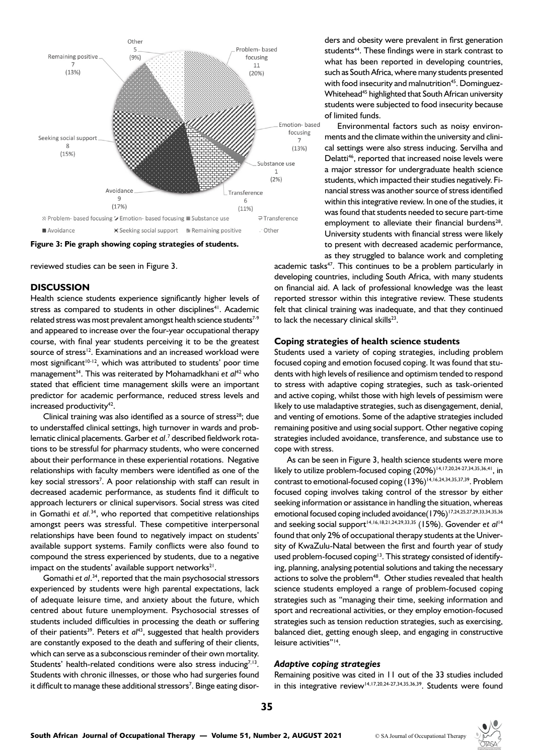

**Figure 3: Pie graph showing coping strategies of students.**

reviewed studies can be seen in Figure 3.

#### **DISCUSSION**

Health science students experience significantly higher levels of stress as compared to students in other disciplines<sup>41</sup>. Academic related stress was most prevalent amongst health science students<sup>7-9</sup> and appeared to increase over the four-year occupational therapy course, with final year students perceiving it to be the greatest source of stress<sup>12</sup>. Examinations and an increased workload were most significant<sup>10-12</sup>, which was attributed to students' poor time management34. This was reiterated by Mohamadkhani *et al*42 who stated that efficient time management skills were an important predictor for academic performance, reduced stress levels and increased productivity<sup>42</sup>.

Clinical training was also identified as a source of stress<sup>28</sup>; due to understaffed clinical settings, high turnover in wards and problematic clinical placements. Garber *et al*. 7 described fieldwork rotations to be stressful for pharmacy students, who were concerned about their performance in these experiential rotations. Negative relationships with faculty members were identified as one of the key social stressors<sup>7</sup>. A poor relationship with staff can result in decreased academic performance, as students find it difficult to approach lecturers or clinical supervisors. Social stress was cited in Gomathi *et al.*34, who reported that competitive relationships amongst peers was stressful. These competitive interpersonal relationships have been found to negatively impact on students' available support systems. Family conflicts were also found to compound the stress experienced by students, due to a negative impact on the students' available support networks $^{21}$ .

Gomathi *et al*. 34, reported that the main psychosocial stressors experienced by students were high parental expectations, lack of adequate leisure time, and anxiety about the future, which centred about future unemployment. Psychosocial stresses of students included difficulties in processing the death or suffering of their patients<sup>39</sup>. Peters et al<sup>43</sup>, suggested that health providers are constantly exposed to the death and suffering of their clients, which can serve as a subconscious reminder of their own mortality. Students' health-related conditions were also stress inducing<sup>7,13</sup>. Students with chronic illnesses, or those who had surgeries found it difficult to manage these additional stressors<sup>7</sup>. Binge eating disor-

ders and obesity were prevalent in first generation students<sup>44</sup>. These findings were in stark contrast to what has been reported in developing countries, such as South Africa, where many students presented with food insecurity and malnutrition<sup>45</sup>. Dominguez-Whitehead<sup>45</sup> highlighted that South African university students were subjected to food insecurity because of limited funds.

Environmental factors such as noisy environments and the climate within the university and clinical settings were also stress inducing. Servilha and Delatti<sup>46</sup>, reported that increased noise levels were a major stressor for undergraduate health science students, which impacted their studies negatively. Financial stress was another source of stress identified within this integrative review. In one of the studies, it was found that students needed to secure part-time employment to alleviate their financial burdens<sup>28</sup>. University students with financial stress were likely to present with decreased academic performance, as they struggled to balance work and completing

academic tasks<sup>47</sup>. This continues to be a problem particularly in developing countries, including South Africa, with many students on financial aid. A lack of professional knowledge was the least reported stressor within this integrative review. These students felt that clinical training was inadequate, and that they continued to lack the necessary clinical skills<sup>23</sup>.

#### **Coping strategies of health science students**

Students used a variety of coping strategies, including problem focused coping and emotion focused coping. It was found that students with high levels of resilience and optimism tended to respond to stress with adaptive coping strategies, such as task-oriented and active coping, whilst those with high levels of pessimism were likely to use maladaptive strategies, such as disengagement, denial, and venting of emotions. Some of the adaptive strategies included remaining positive and using social support. Other negative coping strategies included avoidance, transference, and substance use to cope with stress.

As can be seen in Figure 3, health science students were more likely to utilize problem-focused coping  $(20%)$ <sup>14,17,20,24-27,34,35,36,41</sup>, in contrast to emotional-focused coping (13%)<sup>14,16,24,34,35,37,39</sup>. Problem focused coping involves taking control of the stressor by either seeking information or assistance in handling the situation, whereas emotional focused coping included avoidance (17%)<sup>17,24,25,27,29,33,34,35,36</sup> and seeking social support<sup>14,16,18,21,24,29,33,35</sup> (15%). Govender *et al<sup>14</sup>* found that only 2% of occupational therapy students at the University of KwaZulu-Natal between the first and fourth year of study used problem-focused coping<sup>13</sup>. This strategy consisted of identifying, planning, analysing potential solutions and taking the necessary actions to solve the problem<sup>48</sup>. Other studies revealed that health science students employed a range of problem-focused coping strategies such as "managing their time, seeking information and sport and recreational activities, or they employ emotion-focused strategies such as tension reduction strategies, such as exercising, balanced diet, getting enough sleep, and engaging in constructive leisure activities"14.

#### *Adaptive coping strategies*

Remaining positive was cited in 11 out of the 33 studies included in this integrative review<sup>14,17,20,24-27,34,35,36,39</sup>. Students were found

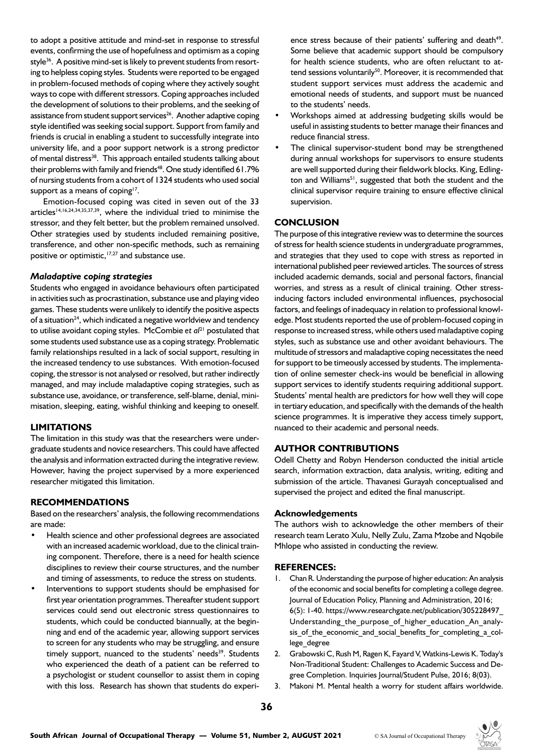to adopt a positive attitude and mind-set in response to stressful events, confirming the use of hopefulness and optimism as a coping style<sup>36</sup>. A positive mind-set is likely to prevent students from resorting to helpless coping styles. Students were reported to be engaged in problem-focused methods of coping where they actively sought ways to cope with different stressors. Coping approaches included the development of solutions to their problems, and the seeking of assistance from student support services<sup>26</sup>. Another adaptive coping style identified was seeking social support. Support from family and friends is crucial in enabling a student to successfully integrate into university life, and a poor support network is a strong predictor of mental distress<sup>38</sup>. This approach entailed students talking about their problems with family and friends<sup>48</sup>. One study identified 61.7% of nursing students from a cohort of 1324 students who used social support as a means of coping $17$ .

Emotion-focused coping was cited in seven out of the 33 articles<sup>14,16,24,34,35,37,39</sup>, where the individual tried to minimise the stressor, and they felt better, but the problem remained unsolved. Other strategies used by students included remaining positive, transference, and other non-specific methods, such as remaining positive or optimistic,<sup>17,27</sup> and substance use.

#### *Maladaptive coping strategies*

Students who engaged in avoidance behaviours often participated in activities such as procrastination, substance use and playing video games. These students were unlikely to identify the positive aspects of a situation<sup>24</sup>, which indicated a negative worldview and tendency to utilise avoidant coping styles. McCombie *et al*21 postulated that some students used substance use as a coping strategy. Problematic family relationships resulted in a lack of social support, resulting in the increased tendency to use substances. With emotion-focused coping, the stressor is not analysed or resolved, but rather indirectly managed, and may include maladaptive coping strategies, such as substance use, avoidance, or transference, self-blame, denial, minimisation, sleeping, eating, wishful thinking and keeping to oneself.

# **LIMITATIONS**

The limitation in this study was that the researchers were undergraduate students and novice researchers. This could have affected the analysis and information extracted during the integrative review. However, having the project supervised by a more experienced researcher mitigated this limitation.

#### **RECOMMENDATIONS**

Based on the researchers' analysis, the following recommendations are made:

- Health science and other professional degrees are associated with an increased academic workload, due to the clinical training component. Therefore, there is a need for health science disciplines to review their course structures, and the number and timing of assessments, to reduce the stress on students.
- Interventions to support students should be emphasised for first year orientation programmes. Thereafter student support services could send out electronic stress questionnaires to students, which could be conducted biannually, at the beginning and end of the academic year, allowing support services to screen for any students who may be struggling, and ensure timely support, nuanced to the students' needs<sup>39</sup>. Students who experienced the death of a patient can be referred to a psychologist or student counsellor to assist them in coping with this loss. Research has shown that students do experi-

ence stress because of their patients' suffering and death<sup>49</sup>. Some believe that academic support should be compulsory for health science students, who are often reluctant to attend sessions voluntarily<sup>50</sup>. Moreover, it is recommended that student support services must address the academic and emotional needs of students, and support must be nuanced to the students' needs.

- Workshops aimed at addressing budgeting skills would be useful in assisting students to better manage their finances and reduce financial stress.
- The clinical supervisor-student bond may be strengthened during annual workshops for supervisors to ensure students are well supported during their fieldwork blocks. King, Edlington and Williams<sup>51</sup>, suggested that both the student and the clinical supervisor require training to ensure effective clinical supervision.

# **CONCLUSION**

The purpose of this integrative review was to determine the sources of stress for health science students in undergraduate programmes, and strategies that they used to cope with stress as reported in international published peer reviewed articles. The sources of stress included academic demands, social and personal factors, financial worries, and stress as a result of clinical training. Other stressinducing factors included environmental influences, psychosocial factors, and feelings of inadequacy in relation to professional knowledge. Most students reported the use of problem-focused coping in response to increased stress, while others used maladaptive coping styles, such as substance use and other avoidant behaviours. The multitude of stressors and maladaptive coping necessitates the need for support to be timeously accessed by students. The implementation of online semester check-ins would be beneficial in allowing support services to identify students requiring additional support. Students' mental health are predictors for how well they will cope in tertiary education, and specifically with the demands of the health science programmes. It is imperative they access timely support, nuanced to their academic and personal needs.

# **AUTHOR CONTRIBUTIONS**

Odell Chetty and Robyn Henderson conducted the initial article search, information extraction, data analysis, writing, editing and submission of the article. Thavanesi Gurayah conceptualised and supervised the project and edited the final manuscript.

#### **Acknowledgements**

The authors wish to acknowledge the other members of their research team Lerato Xulu, Nelly Zulu, Zama Mzobe and Nqobile Mhlope who assisted in conducting the review.

#### **REFERENCES:**

- 1. Chan R. Understanding the purpose of higher education: An analysis of the economic and social benefits for completing a college degree. Journal of Education Policy, Planning and Administration, 2016; 6(5): 1-40. [https://www.researchgate.net/publication/305228497\\_](https://www.researchgate.net/publication/305228497_Understanding_the_purpose_of_higher_education_An_analysis_of_the_economic_and_social_benefits_for_completing_a_college_degree) Understanding the purpose of higher education An analy[sis\\_of\\_the\\_economic\\_and\\_social\\_benefits\\_for\\_completing\\_a\\_col](https://www.researchgate.net/publication/305228497_Understanding_the_purpose_of_higher_education_An_analysis_of_the_economic_and_social_benefits_for_completing_a_college_degree)lege degree
- 2. Grabowski C, Rush M, Ragen K, Fayard V, Watkins-Lewis K. Today's Non-Traditional Student: Challenges to Academic Success and Degree Completion. Inquiries Journal/Student Pulse, 2016; 8(03).
- 3. Makoni M. Mental health a worry for student affairs worldwide.

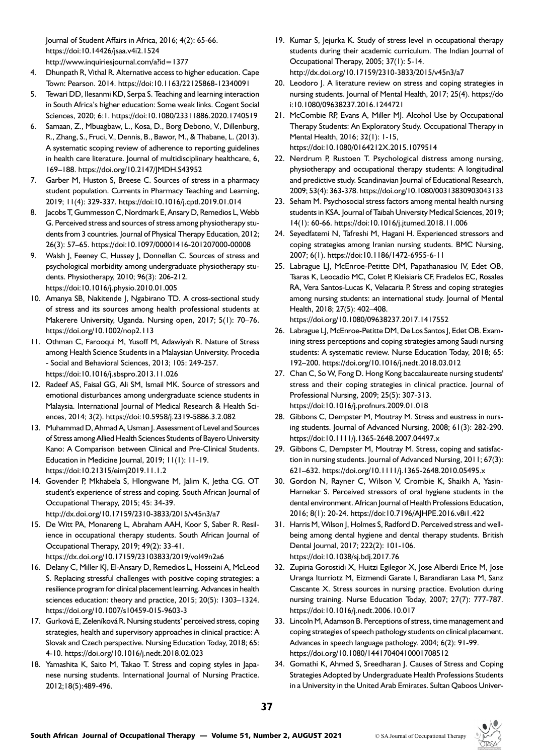Journal of Student Affairs in Africa, 2016; 4(2): 65-66. https://doi:10.14426/jsaa.v4i2.1524 http://www.inquiriesjournal.com/a?id=1377

- 4. Dhunpath R, Vithal R. Alternative access to higher education. Cape Town: Pearson. 2014. https://doi:10.1163/22125868-12340091
- 5. Tewari DD, Ilesanmi KD, Serpa S. Teaching and learning interaction in South Africa's higher education: Some weak links. Cogent Social Sciences, 2020; 6:1. https://doi:10.1080/23311886.2020.1740519
- 6. Samaan, Z., Mbuagbaw, L., Kosa, D., Borg Debono, V., Dillenburg, R., Zhang, S., Fruci, V., Dennis, B., Bawor, M., & Thabane, L. (2013). A systematic scoping review of adherence to reporting guidelines in health care literature. Journal of multidisciplinary healthcare, 6, 169–188. https://doi.org/10.2147/JMDH.S43952
- 7. Garber M, Huston S, Breese C. Sources of stress in a pharmacy student population. Currents in Pharmacy Teaching and Learning, 2019; 11(4): 329-337. https://doi:10.1016/j.cptl.2019.01.014
- 8. Jacobs T, Gummesson C, Nordmark E, Ansary D, Remedios L, Webb G. Perceived stress and sources of stress among physiotherapy students from 3 countries. Journal of Physical Therapy Education, 2012; 26(3): 57–65. https://doi:10.1097/00001416-201207000-00008
- 9. Walsh J, Feeney C, Hussey J, Donnellan C. Sources of stress and psychological morbidity among undergraduate physiotherapy students. Physiotherapy, 2010; 96(3): 206-212. https://doi:10.1016/j.physio.2010.01.005
- 10. Amanya SB, Nakitende J, Ngabirano TD. A cross-sectional study of stress and its sources among health professional students at Makerere University, Uganda. Nursing open, 2017; 5(1): 70–76. https://doi.org/10.1002/nop2.113
- 11. Othman C, Farooqui M, Yusoff M, Adawiyah R. Nature of Stress among Health Science Students in a Malaysian University. Procedia - Social and Behavioral Sciences, 2013; 105: 249-257. https://doi:10.1016/j.sbspro.2013.11.026
- 12. Radeef AS, Faisal GG, Ali SM, Ismail MK. Source of stressors and emotional disturbances among undergraduate science students in Malaysia. International Journal of Medical Research & Health Sciences, 2014; 3(2). https://doi:10.5958/j.2319-5886.3.2.082
- 13. Muhammad D, Ahmad A, Usman J. Assessment of Level and Sources of Stress among Allied Health Sciences Students of Bayero University Kano: A Comparison between Clinical and Pre-Clinical Students. Education in Medicine Journal, 2019; 11(1): 11-19. https://doi:10.21315/eimj2019.11.1.2
- 14. Govender P, Mkhabela S, Hlongwane M, Jalim K, Jetha CG. OT student's experience of stress and coping. South African Journal of Occupational Therapy, 2015; 45: 34-39. http://dx.doi.org/10.17159/2310-3833/2015/v45n3/a7
- 15. De Witt PA, Monareng L, Abraham AAH, Koor S, Saber R. Resilience in occupational therapy students. South African Journal of Occupational Therapy, 2019; 49(2): 33-41. https://dx.doi.org/10.17159/23103833/2019/vol49n2a6
- 16. Delany C, Miller KJ, El-Ansary D, Remedios L, Hosseini A, McLeod S. Replacing stressful challenges with positive coping strategies: a resilience program for clinical placement learning. Advances in health sciences education: theory and practice, 2015; 20(5): 1303–1324. https://doi.org/10.1007/s10459-015-9603-3
- 17. Gurková E, Zeleníková R. Nursing students' perceived stress, coping strategies, health and supervisory approaches in clinical practice: A Slovak and Czech perspective. Nursing Education Today, 2018; 65: 4-10. https://doi.org/10.1016/j.nedt.2018.02.023
- 18. Yamashita K, Saito M, Takao T. Stress and coping styles in Japanese nursing students. International Journal of Nursing Practice. 2012;18(5):489-496.
- 19. Kumar S, Jejurka K. Study of stress level in occupational therapy students during their academic curriculum. The Indian Journal of Occupational Therapy, 2005; 37(1): 5-14.
	- [http://dx.doi.org/10.17159/2310-3833/2015/v45n3/a7](http://dx.doi.org/10.17159/2310-3833/2015/v45n3/a7 )
- 20. Leodoro J. A literature review on stress and coping strategies in nursing students. Journal of Mental Health, 2017; 25(4). https://do i:10.1080/09638237.2016.1244721
- 21. McCombie RP, Evans A, Miller MJ. Alcohol Use by Occupational Therapy Students: An Exploratory Study. Occupational Therapy in Mental Health, 2016; 32(1): 1-15, https://doi:10.1080/0164212X.2015.1079514
- 22. Nerdrum P, Rustoen T. Psychological distress among nursing, physiotherapy and occupational therapy students: A longitudinal and predictive study. Scandinavian Journal of Educational Research, 2009; 53(4): 363-378. https://doi.org/10.1080/00313830903043133
- 23. Seham M. Psychosocial stress factors among mental health nursing students in KSA. Journal of Taibah University Medical Sciences, 2019; 14(1): 60-66. https://doi:10.1016/j.jtumed.2018.11.006
- 24. Seyedfatemi N, Tafreshi M, Hagani H. Experienced stressors and coping strategies among Iranian nursing students. BMC Nursing, 2007; 6(1). https://doi:10.1186/1472-6955-6-11
- 25. Labrague LJ, McEnroe-Petitte DM, Papathanasiou IV, Edet OB, Tsaras K, Leocadio MC, Colet P, Kleisiaris CF, Fradelos EC, Rosales RA, Vera Santos-Lucas K, Velacaria P. Stress and coping strategies among nursing students: an international study. Journal of Mental Health, 2018; 27(5): 402–408.

https://doi.org/10.1080/09638237.2017.1417552

- 26. Labrague LJ, McEnroe-Petitte DM, De Los Santos J, Edet OB. Examining stress perceptions and coping strategies among Saudi nursing students: A systematic review. Nurse Education Today, 2018; 65: 192–200. https://doi.org/10.1016/j.nedt.2018.03.012
- 27. Chan C, So W, Fong D. Hong Kong baccalaureate nursing students' stress and their coping strategies in clinical practice. Journal of Professional Nursing, 2009; 25(5): 307-313. https://doi:10.1016/j.profnurs.2009.01.018
- 28. Gibbons C, Dempster M, Moutray M. Stress and eustress in nursing students. Journal of Advanced Nursing, 2008; 61(3): 282-290. https://doi:10.1111/j.1365-2648.2007.04497.x
- 29. Gibbons C, Dempster M, Moutray M. Stress, coping and satisfaction in nursing students. Journal of Advanced Nursing, 2011; 67(3): 621–632. https://doi.org/10.1111/j.1365-2648.2010.05495.x
- 30. Gordon N, Rayner C, Wilson V, Crombie K, Shaikh A, Yasin-Harnekar S. Perceived stressors of oral hygiene students in the dental environment. African Journal of Health Professions Education, 2016; 8(1): 20-24. https://doi:10.7196/AJHPE.2016.v8i1.422
- 31. Harris M, Wilson J, Holmes S, Radford D. Perceived stress and wellbeing among dental hygiene and dental therapy students. British Dental Journal, 2017; 222(2): 101-106. https://doi:10.1038/sj.bdj.2017.76
- 32. Zupiria Gorostidi X, Huitzi Egilegor X, Jose Alberdi Erice M, Jose Uranga Iturriotz M, Eizmendi Garate I, Barandiaran Lasa M, Sanz Cascante X. Stress sources in nursing practice. Evolution during nursing training. Nurse Education Today, 2007; 27(7): 777-787. https://doi:10.1016/j.nedt.2006.10.017
- 33. Lincoln M, Adamson B. Perceptions of stress, time management and coping strategies of speech pathology students on clinical placement. Advances in speech language pathology. 2004; 6(2): 91-99. https://doi.org/10.1080/14417040410001708512
- 34. Gomathi K, Ahmed S, Sreedharan J. Causes of Stress and Coping Strategies Adopted by Undergraduate Health Professions Students in a University in the United Arab Emirates. Sultan Qaboos Univer-